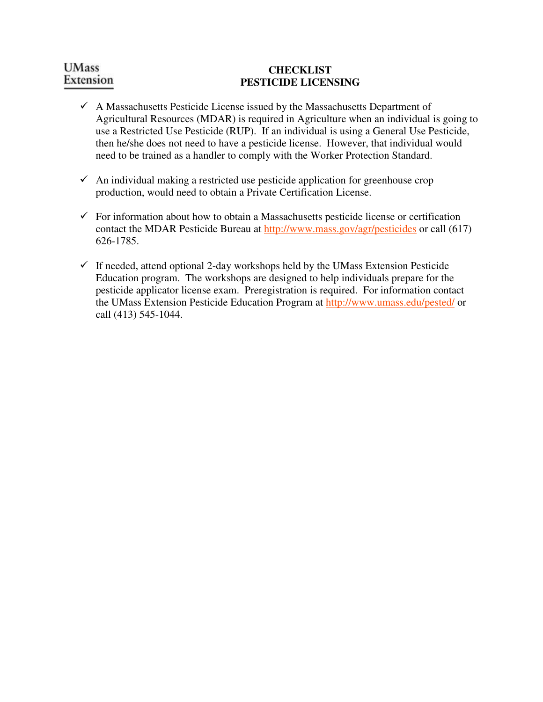# **UMass** Extension

#### **CHECKLIST PESTICIDE LICENSING**

- $\checkmark$  A Massachusetts Pesticide License issued by the Massachusetts Department of Agricultural Resources (MDAR) is required in Agriculture when an individual is going to use a Restricted Use Pesticide (RUP). If an individual is using a General Use Pesticide, then he/she does not need to have a pesticide license. However, that individual would need to be trained as a handler to comply with the Worker Protection Standard.
- $\checkmark$  An individual making a restricted use pesticide application for greenhouse crop production, would need to obtain a Private Certification License.
- $\checkmark$  For information about how to obtain a Massachusetts pesticide license or certification contact the MDAR Pesticide Bureau at http://www.mass.gov/agr/pesticides or call (617) 626-1785.
- $\checkmark$  If needed, attend optional 2-day workshops held by the UMass Extension Pesticide Education program. The workshops are designed to help individuals prepare for the pesticide applicator license exam. Preregistration is required. For information contact the UMass Extension Pesticide Education Program at http://www.umass.edu/pested/ or call (413) 545-1044.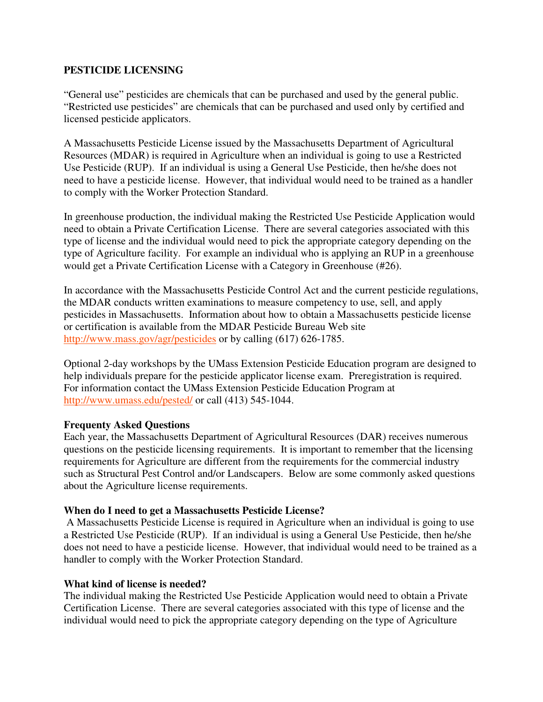### **PESTICIDE LICENSING**

"General use" pesticides are chemicals that can be purchased and used by the general public. "Restricted use pesticides" are chemicals that can be purchased and used only by certified and licensed pesticide applicators.

A Massachusetts Pesticide License issued by the Massachusetts Department of Agricultural Resources (MDAR) is required in Agriculture when an individual is going to use a Restricted Use Pesticide (RUP). If an individual is using a General Use Pesticide, then he/she does not need to have a pesticide license. However, that individual would need to be trained as a handler to comply with the Worker Protection Standard.

In greenhouse production, the individual making the Restricted Use Pesticide Application would need to obtain a Private Certification License. There are several categories associated with this type of license and the individual would need to pick the appropriate category depending on the type of Agriculture facility. For example an individual who is applying an RUP in a greenhouse would get a Private Certification License with a Category in Greenhouse (#26).

In accordance with the Massachusetts Pesticide Control Act and the current pesticide regulations, the MDAR conducts written examinations to measure competency to use, sell, and apply pesticides in Massachusetts. Information about how to obtain a Massachusetts pesticide license or certification is available from the MDAR Pesticide Bureau Web site http://www.mass.gov/agr/pesticides or by calling (617) 626-1785.

Optional 2-day workshops by the UMass Extension Pesticide Education program are designed to help individuals prepare for the pesticide applicator license exam. Preregistration is required. For information contact the UMass Extension Pesticide Education Program at http://www.umass.edu/pested/ or call (413) 545-1044.

#### **Frequenty Asked Questions**

Each year, the Massachusetts Department of Agricultural Resources (DAR) receives numerous questions on the pesticide licensing requirements. It is important to remember that the licensing requirements for Agriculture are different from the requirements for the commercial industry such as Structural Pest Control and/or Landscapers. Below are some commonly asked questions about the Agriculture license requirements.

#### **When do I need to get a Massachusetts Pesticide License?**

 A Massachusetts Pesticide License is required in Agriculture when an individual is going to use a Restricted Use Pesticide (RUP). If an individual is using a General Use Pesticide, then he/she does not need to have a pesticide license. However, that individual would need to be trained as a handler to comply with the Worker Protection Standard.

#### **What kind of license is needed?**

The individual making the Restricted Use Pesticide Application would need to obtain a Private Certification License. There are several categories associated with this type of license and the individual would need to pick the appropriate category depending on the type of Agriculture